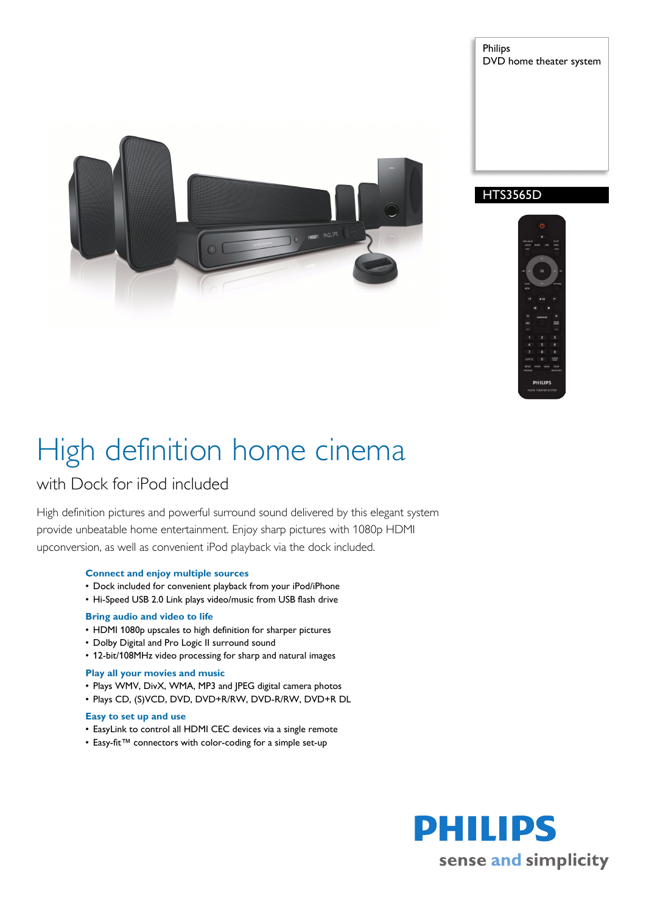

Philips DVD home theater system





# High definition home cinema

# with Dock for iPod included

High definition pictures and powerful surround sound delivered by this elegant system provide unbeatable home entertainment. Enjoy sharp pictures with 1080p HDMI upconversion, as well as convenient iPod playback via the dock included.

# **Connect and enjoy multiple sources**

- Dock included for convenient playback from your iPod/iPhone
- Hi-Speed USB 2.0 Link plays video/music from USB flash drive

# **Bring audio and video to life**

- HDMI 1080p upscales to high definition for sharper pictures
- Dolby Digital and Pro Logic II surround sound
- 12-bit/108MHz video processing for sharp and natural images

# **Play all your movies and music**

- Plays WMV, DivX, WMA, MP3 and JPEG digital camera photos
- Plays CD, (S)VCD, DVD, DVD+R/RW, DVD-R/RW, DVD+R DL

# **Easy to set up and use**

- EasyLink to control all HDMI CEC devices via a single remote
- Easy-fit™ connectors with color-coding for a simple set-up